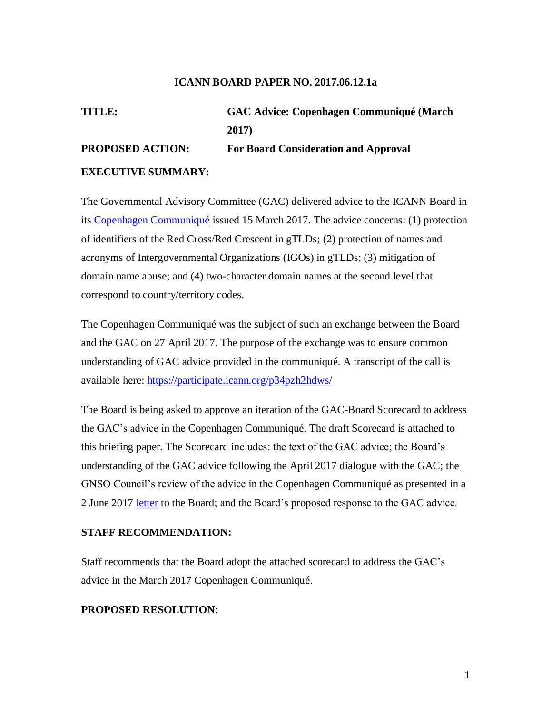#### **ICANN BOARD PAPER NO. 2017.06.12.1a**

# **TITLE: GAC Advice: Copenhagen Communiqué (March 2017) PROPOSED ACTION: For Board Consideration and Approval EXECUTIVE SUMMARY:**

The Governmental Advisory Committee (GAC) delivered advice to the ICANN Board in its [Copenhagen Communiqué](https://www.icann.org/en/system/files/correspondence/gac-to-icann-15mar17-en.pdf) issued 15 March 2017. The advice concerns: (1) protection of identifiers of the Red Cross/Red Crescent in gTLDs; (2) protection of names and acronyms of Intergovernmental Organizations (IGOs) in gTLDs; (3) mitigation of domain name abuse; and (4) two-character domain names at the second level that correspond to country/territory codes.

The Copenhagen Communiqué was the subject of such an exchange between the Board and the GAC on 27 April 2017. The purpose of the exchange was to ensure common understanding of GAC advice provided in the communiqué. A transcript of the call is available here:<https://participate.icann.org/p34pzh2hdws/>

The Board is being asked to approve an iteration of the GAC-Board Scorecard to address the GAC's advice in the Copenhagen Communiqué. The draft Scorecard is attached to this briefing paper. The Scorecard includes: the text of the GAC advice; the Board's understanding of the GAC advice following the April 2017 dialogue with the GAC; the GNSO Council's review of the advice in the Copenhagen Communiqué as presented in a 2 June 2017 [letter](https://www.icann.org/en/system/files/correspondence/bladel-et-al-to-crocker-02jun17-en.pdf) to the Board; and the Board's proposed response to the GAC advice.

### **STAFF RECOMMENDATION:**

Staff recommends that the Board adopt the attached scorecard to address the GAC's advice in the March 2017 Copenhagen Communiqué.

## **PROPOSED RESOLUTION**: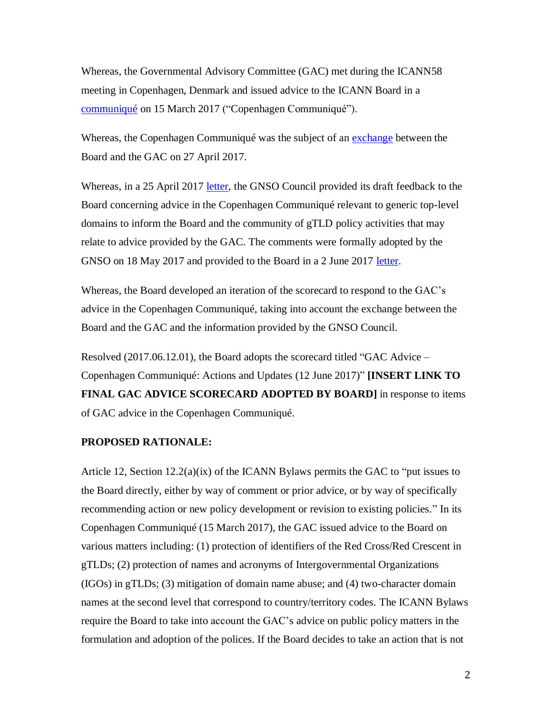Whereas, the Governmental Advisory Committee (GAC) met during the ICANN58 meeting in Copenhagen, Denmark and issued advice to the ICANN Board in a [communiqué](https://www.icann.org/en/system/files/correspondence/gac-to-icann-15mar17-en.pdf) on 15 March 2017 ("Copenhagen Communiqué").

Whereas, the Copenhagen Communiqué was the subject of an [exchange](https://participate.icann.org/p34pzh2hdws/) between the Board and the GAC on 27 April 2017.

Whereas, in a 25 April 2017 [letter,](https://www.icann.org/en/system/files/correspondence/bladel-et-al-to-crocker-25apr17-en.pdf) the GNSO Council provided its draft feedback to the Board concerning advice in the Copenhagen Communiqué relevant to generic top-level domains to inform the Board and the community of gTLD policy activities that may relate to advice provided by the GAC. The comments were formally adopted by the GNSO on 18 May 2017 and provided to the Board in a 2 June 2017 [letter.](https://www.icann.org/en/system/files/correspondence/bladel-et-al-to-crocker-02jun17-en.pdf)

Whereas, the Board developed an iteration of the scorecard to respond to the GAC's advice in the Copenhagen Communiqué, taking into account the exchange between the Board and the GAC and the information provided by the GNSO Council.

Resolved (2017.06.12.01), the Board adopts the scorecard titled "GAC Advice – Copenhagen Communiqué: Actions and Updates (12 June 2017)" **[INSERT LINK TO FINAL GAC ADVICE SCORECARD ADOPTED BY BOARD]** in response to items of GAC advice in the Copenhagen Communiqué.

#### **PROPOSED RATIONALE:**

Article 12, Section 12.2(a)(ix) of the ICANN Bylaws permits the GAC to "put issues to the Board directly, either by way of comment or prior advice, or by way of specifically recommending action or new policy development or revision to existing policies." In its Copenhagen Communiqué (15 March 2017), the GAC issued advice to the Board on various matters including: (1) protection of identifiers of the Red Cross/Red Crescent in gTLDs; (2) protection of names and acronyms of Intergovernmental Organizations (IGOs) in gTLDs; (3) mitigation of domain name abuse; and (4) two-character domain names at the second level that correspond to country/territory codes. The ICANN Bylaws require the Board to take into account the GAC's advice on public policy matters in the formulation and adoption of the polices. If the Board decides to take an action that is not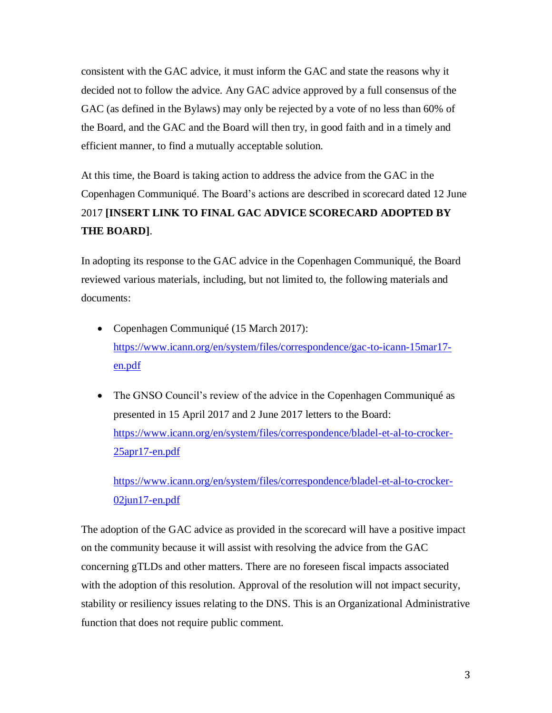consistent with the GAC advice, it must inform the GAC and state the reasons why it decided not to follow the advice. Any GAC advice approved by a full consensus of the GAC (as defined in the Bylaws) may only be rejected by a vote of no less than 60% of the Board, and the GAC and the Board will then try, in good faith and in a timely and efficient manner, to find a mutually acceptable solution.

At this time, the Board is taking action to address the advice from the GAC in the Copenhagen Communiqué. The Board's actions are described in scorecard dated 12 June 2017 **[INSERT LINK TO FINAL GAC ADVICE SCORECARD ADOPTED BY THE BOARD]**.

In adopting its response to the GAC advice in the Copenhagen Communiqué, the Board reviewed various materials, including, but not limited to, the following materials and documents:

- Copenhagen Communiqué (15 March 2017): [https://www.icann.org/en/system/files/correspondence/gac-to-icann-15mar17](https://www.icann.org/en/system/files/correspondence/gac-to-icann-15mar17-en.pdf) [en.pdf](https://www.icann.org/en/system/files/correspondence/gac-to-icann-15mar17-en.pdf)
- The GNSO Council's review of the advice in the Copenhagen Communiqué as presented in 15 April 2017 and 2 June 2017 letters to the Board: [https://www.icann.org/en/system/files/correspondence/bladel-et-al-to-crocker-](https://www.icann.org/en/system/files/correspondence/bladel-et-al-to-crocker-25apr17-en.pdf)[25apr17-en.pdf](https://www.icann.org/en/system/files/correspondence/bladel-et-al-to-crocker-25apr17-en.pdf)

[https://www.icann.org/en/system/files/correspondence/bladel-et-al-to-crocker-](https://www.icann.org/en/system/files/correspondence/bladel-et-al-to-crocker-02jun17-en.pdf)[02jun17-en.pdf](https://www.icann.org/en/system/files/correspondence/bladel-et-al-to-crocker-02jun17-en.pdf)

The adoption of the GAC advice as provided in the scorecard will have a positive impact on the community because it will assist with resolving the advice from the GAC concerning gTLDs and other matters. There are no foreseen fiscal impacts associated with the adoption of this resolution. Approval of the resolution will not impact security, stability or resiliency issues relating to the DNS. This is an Organizational Administrative function that does not require public comment.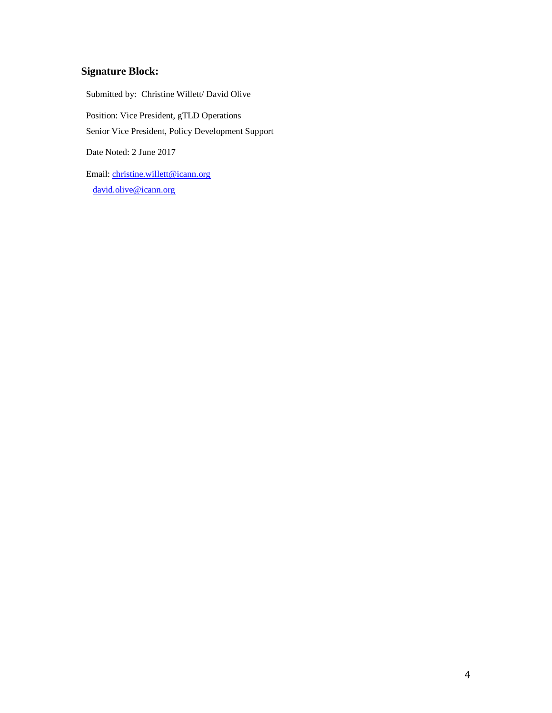# **Signature Block:**

Submitted by: Christine Willett/ David Olive Position: Vice President, gTLD Operations Senior Vice President, Policy Development Support Date Noted: 2 June 2017 Email: [christine.willett@icann.org](mailto:christine.willett@icann.org)

[david.olive@icann.org](mailto:david.olive@icann.org)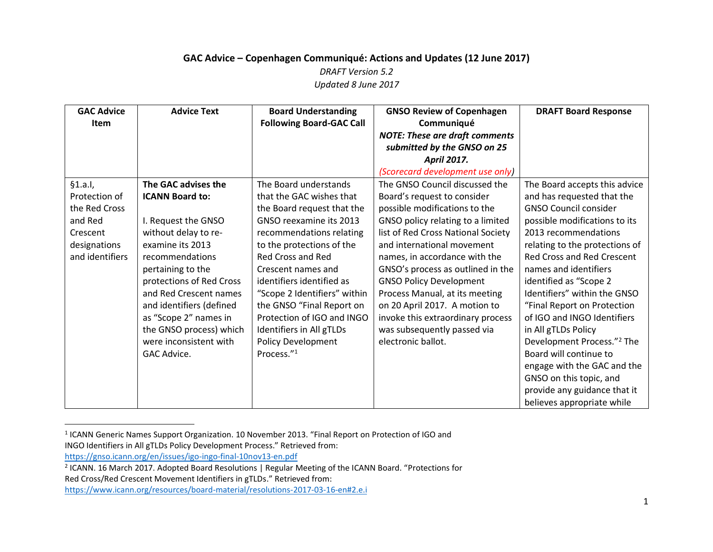## **GAC Advice – Copenhagen Communiqué: Actions and Updates (12 June 2017)** *DRAFT Version 5.2 Updated 8 June 2017*

| <b>GAC Advice</b> | <b>Advice Text</b>       | <b>Board Understanding</b>      | <b>GNSO Review of Copenhagen</b>      | <b>DRAFT Board Response</b>            |
|-------------------|--------------------------|---------------------------------|---------------------------------------|----------------------------------------|
| Item              |                          | <b>Following Board-GAC Call</b> | Communiqué                            |                                        |
|                   |                          |                                 | <b>NOTE: These are draft comments</b> |                                        |
|                   |                          |                                 | submitted by the GNSO on 25           |                                        |
|                   |                          |                                 | <b>April 2017.</b>                    |                                        |
|                   |                          |                                 | (Scorecard development use only)      |                                        |
| §1.a.1,           | The GAC advises the      | The Board understands           | The GNSO Council discussed the        | The Board accepts this advice          |
| Protection of     | <b>ICANN Board to:</b>   | that the GAC wishes that        | Board's request to consider           | and has requested that the             |
| the Red Cross     |                          | the Board request that the      | possible modifications to the         | <b>GNSO Council consider</b>           |
| and Red           | I. Request the GNSO      | GNSO reexamine its 2013         | GNSO policy relating to a limited     | possible modifications to its          |
| Crescent          | without delay to re-     | recommendations relating        | list of Red Cross National Society    | 2013 recommendations                   |
| designations      | examine its 2013         | to the protections of the       | and international movement            | relating to the protections of         |
| and identifiers   | recommendations          | <b>Red Cross and Red</b>        | names, in accordance with the         | <b>Red Cross and Red Crescent</b>      |
|                   | pertaining to the        | Crescent names and              | GNSO's process as outlined in the     | names and identifiers                  |
|                   | protections of Red Cross | identifiers identified as       | <b>GNSO Policy Development</b>        | identified as "Scope 2                 |
|                   | and Red Crescent names   | "Scope 2 Identifiers" within    | Process Manual, at its meeting        | Identifiers" within the GNSO           |
|                   | and identifiers (defined | the GNSO "Final Report on       | on 20 April 2017. A motion to         | "Final Report on Protection            |
|                   | as "Scope 2" names in    | Protection of IGO and INGO      | invoke this extraordinary process     | of IGO and INGO Identifiers            |
|                   | the GNSO process) which  | Identifiers in All gTLDs        | was subsequently passed via           | in All gTLDs Policy                    |
|                   | were inconsistent with   | <b>Policy Development</b>       | electronic ballot.                    | Development Process." <sup>2</sup> The |
|                   | GAC Advice.              | Process."1                      |                                       | Board will continue to                 |
|                   |                          |                                 |                                       | engage with the GAC and the            |
|                   |                          |                                 |                                       | GNSO on this topic, and                |
|                   |                          |                                 |                                       | provide any guidance that it           |
|                   |                          |                                 |                                       | believes appropriate while             |

<sup>1</sup> ICANN Generic Names Support Organization. 10 November 2013. "Final Report on Protection of IGO and

 $\overline{\phantom{0}}$ 

INGO Identifiers in All gTLDs Policy Development Process." Retrieved from:

<https://gnso.icann.org/en/issues/igo-ingo-final-10nov13-en.pdf>

<sup>&</sup>lt;sup>2</sup> ICANN. 16 March 2017. Adopted Board Resolutions | Regular Meeting of the ICANN Board. "Protections for

Red Cross/Red Crescent Movement Identifiers in gTLDs." Retrieved from:

<https://www.icann.org/resources/board-material/resolutions-2017-03-16-en#2.e.i>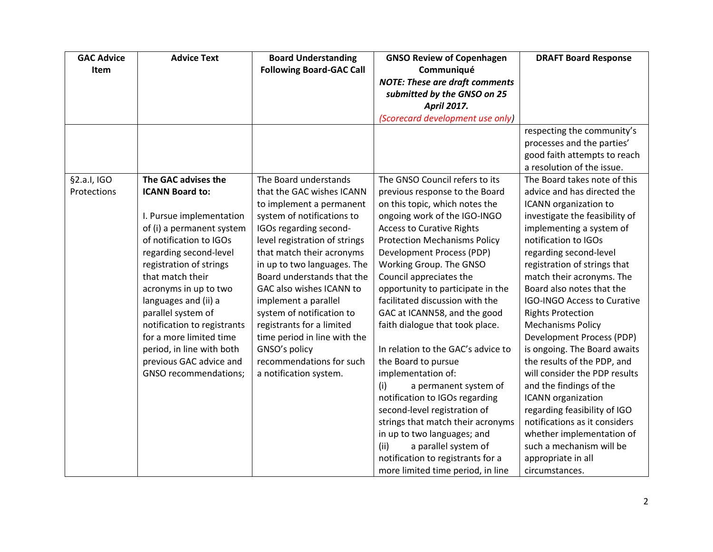| <b>GAC Advice</b> | <b>Advice Text</b>          | <b>Board Understanding</b>      | <b>GNSO Review of Copenhagen</b>      | <b>DRAFT Board Response</b>        |
|-------------------|-----------------------------|---------------------------------|---------------------------------------|------------------------------------|
| Item              |                             | <b>Following Board-GAC Call</b> | Communiqué                            |                                    |
|                   |                             |                                 | <b>NOTE: These are draft comments</b> |                                    |
|                   |                             |                                 | submitted by the GNSO on 25           |                                    |
|                   |                             |                                 | <b>April 2017.</b>                    |                                    |
|                   |                             |                                 | (Scorecard development use only)      |                                    |
|                   |                             |                                 |                                       | respecting the community's         |
|                   |                             |                                 |                                       | processes and the parties'         |
|                   |                             |                                 |                                       | good faith attempts to reach       |
|                   |                             |                                 |                                       | a resolution of the issue.         |
| §2.a.I, IGO       | The GAC advises the         | The Board understands           | The GNSO Council refers to its        | The Board takes note of this       |
| Protections       | <b>ICANN Board to:</b>      | that the GAC wishes ICANN       | previous response to the Board        | advice and has directed the        |
|                   |                             | to implement a permanent        | on this topic, which notes the        | ICANN organization to              |
|                   | I. Pursue implementation    | system of notifications to      | ongoing work of the IGO-INGO          | investigate the feasibility of     |
|                   | of (i) a permanent system   | IGOs regarding second-          | <b>Access to Curative Rights</b>      | implementing a system of           |
|                   | of notification to IGOs     | level registration of strings   | <b>Protection Mechanisms Policy</b>   | notification to IGOs               |
|                   | regarding second-level      | that match their acronyms       | Development Process (PDP)             | regarding second-level             |
|                   | registration of strings     | in up to two languages. The     | Working Group. The GNSO               | registration of strings that       |
|                   | that match their            | Board understands that the      | Council appreciates the               | match their acronyms. The          |
|                   | acronyms in up to two       | GAC also wishes ICANN to        | opportunity to participate in the     | Board also notes that the          |
|                   | languages and (ii) a        | implement a parallel            | facilitated discussion with the       | <b>IGO-INGO Access to Curative</b> |
|                   | parallel system of          | system of notification to       | GAC at ICANN58, and the good          | <b>Rights Protection</b>           |
|                   | notification to registrants | registrants for a limited       | faith dialogue that took place.       | <b>Mechanisms Policy</b>           |
|                   | for a more limited time     | time period in line with the    |                                       | Development Process (PDP)          |
|                   | period, in line with both   | GNSO's policy                   | In relation to the GAC's advice to    | is ongoing. The Board awaits       |
|                   | previous GAC advice and     | recommendations for such        | the Board to pursue                   | the results of the PDP, and        |
|                   | GNSO recommendations;       | a notification system.          | implementation of:                    | will consider the PDP results      |
|                   |                             |                                 | (i)<br>a permanent system of          | and the findings of the            |
|                   |                             |                                 | notification to IGOs regarding        | ICANN organization                 |
|                   |                             |                                 | second-level registration of          | regarding feasibility of IGO       |
|                   |                             |                                 | strings that match their acronyms     | notifications as it considers      |
|                   |                             |                                 | in up to two languages; and           | whether implementation of          |
|                   |                             |                                 | (ii)<br>a parallel system of          | such a mechanism will be           |
|                   |                             |                                 | notification to registrants for a     | appropriate in all                 |
|                   |                             |                                 | more limited time period, in line     | circumstances.                     |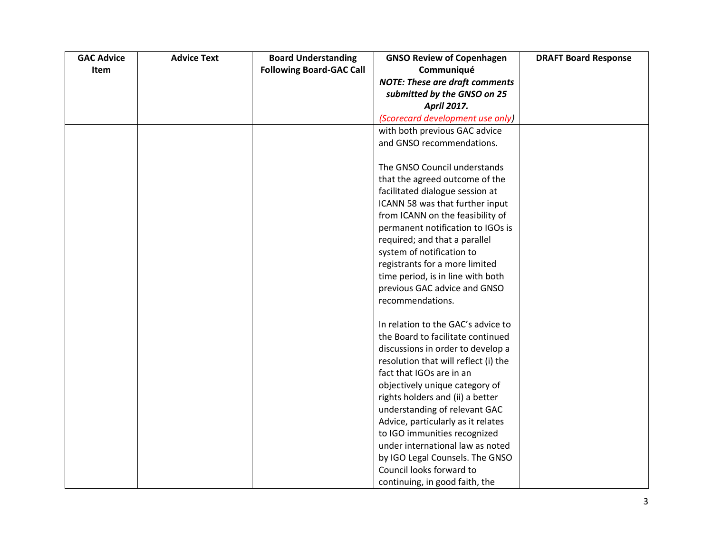| <b>GAC Advice</b> | <b>Advice Text</b> | <b>Board Understanding</b>      | <b>GNSO Review of Copenhagen</b>      | <b>DRAFT Board Response</b> |
|-------------------|--------------------|---------------------------------|---------------------------------------|-----------------------------|
| Item              |                    | <b>Following Board-GAC Call</b> | Communiqué                            |                             |
|                   |                    |                                 | <b>NOTE: These are draft comments</b> |                             |
|                   |                    |                                 | submitted by the GNSO on 25           |                             |
|                   |                    |                                 | <b>April 2017.</b>                    |                             |
|                   |                    |                                 | (Scorecard development use only)      |                             |
|                   |                    |                                 | with both previous GAC advice         |                             |
|                   |                    |                                 | and GNSO recommendations.             |                             |
|                   |                    |                                 |                                       |                             |
|                   |                    |                                 | The GNSO Council understands          |                             |
|                   |                    |                                 | that the agreed outcome of the        |                             |
|                   |                    |                                 | facilitated dialogue session at       |                             |
|                   |                    |                                 | ICANN 58 was that further input       |                             |
|                   |                    |                                 | from ICANN on the feasibility of      |                             |
|                   |                    |                                 | permanent notification to IGOs is     |                             |
|                   |                    |                                 | required; and that a parallel         |                             |
|                   |                    |                                 | system of notification to             |                             |
|                   |                    |                                 | registrants for a more limited        |                             |
|                   |                    |                                 | time period, is in line with both     |                             |
|                   |                    |                                 | previous GAC advice and GNSO          |                             |
|                   |                    |                                 | recommendations.                      |                             |
|                   |                    |                                 |                                       |                             |
|                   |                    |                                 | In relation to the GAC's advice to    |                             |
|                   |                    |                                 | the Board to facilitate continued     |                             |
|                   |                    |                                 | discussions in order to develop a     |                             |
|                   |                    |                                 | resolution that will reflect (i) the  |                             |
|                   |                    |                                 | fact that IGOs are in an              |                             |
|                   |                    |                                 | objectively unique category of        |                             |
|                   |                    |                                 | rights holders and (ii) a better      |                             |
|                   |                    |                                 | understanding of relevant GAC         |                             |
|                   |                    |                                 | Advice, particularly as it relates    |                             |
|                   |                    |                                 | to IGO immunities recognized          |                             |
|                   |                    |                                 | under international law as noted      |                             |
|                   |                    |                                 | by IGO Legal Counsels. The GNSO       |                             |
|                   |                    |                                 | Council looks forward to              |                             |
|                   |                    |                                 | continuing, in good faith, the        |                             |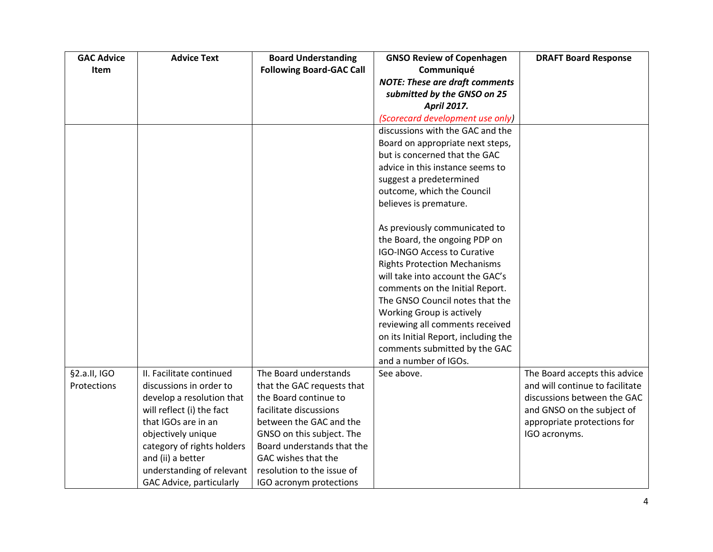| <b>GAC Advice</b> | <b>Advice Text</b>         | <b>Board Understanding</b>      | <b>GNSO Review of Copenhagen</b>      | <b>DRAFT Board Response</b>     |
|-------------------|----------------------------|---------------------------------|---------------------------------------|---------------------------------|
| <b>Item</b>       |                            | <b>Following Board-GAC Call</b> | Communiqué                            |                                 |
|                   |                            |                                 | <b>NOTE: These are draft comments</b> |                                 |
|                   |                            |                                 | submitted by the GNSO on 25           |                                 |
|                   |                            |                                 | <b>April 2017.</b>                    |                                 |
|                   |                            |                                 | (Scorecard development use only)      |                                 |
|                   |                            |                                 | discussions with the GAC and the      |                                 |
|                   |                            |                                 | Board on appropriate next steps,      |                                 |
|                   |                            |                                 | but is concerned that the GAC         |                                 |
|                   |                            |                                 | advice in this instance seems to      |                                 |
|                   |                            |                                 | suggest a predetermined               |                                 |
|                   |                            |                                 | outcome, which the Council            |                                 |
|                   |                            |                                 | believes is premature.                |                                 |
|                   |                            |                                 | As previously communicated to         |                                 |
|                   |                            |                                 | the Board, the ongoing PDP on         |                                 |
|                   |                            |                                 | <b>IGO-INGO Access to Curative</b>    |                                 |
|                   |                            |                                 | <b>Rights Protection Mechanisms</b>   |                                 |
|                   |                            |                                 | will take into account the GAC's      |                                 |
|                   |                            |                                 | comments on the Initial Report.       |                                 |
|                   |                            |                                 | The GNSO Council notes that the       |                                 |
|                   |                            |                                 | Working Group is actively             |                                 |
|                   |                            |                                 | reviewing all comments received       |                                 |
|                   |                            |                                 | on its Initial Report, including the  |                                 |
|                   |                            |                                 | comments submitted by the GAC         |                                 |
|                   |                            |                                 | and a number of IGOs.                 |                                 |
| §2.a.II, IGO      | II. Facilitate continued   | The Board understands           | See above.                            | The Board accepts this advice   |
| Protections       | discussions in order to    | that the GAC requests that      |                                       | and will continue to facilitate |
|                   | develop a resolution that  | the Board continue to           |                                       | discussions between the GAC     |
|                   | will reflect (i) the fact  | facilitate discussions          |                                       | and GNSO on the subject of      |
|                   | that IGOs are in an        | between the GAC and the         |                                       | appropriate protections for     |
|                   | objectively unique         | GNSO on this subject. The       |                                       | IGO acronyms.                   |
|                   | category of rights holders | Board understands that the      |                                       |                                 |
|                   | and (ii) a better          | GAC wishes that the             |                                       |                                 |
|                   | understanding of relevant  | resolution to the issue of      |                                       |                                 |
|                   | GAC Advice, particularly   | IGO acronym protections         |                                       |                                 |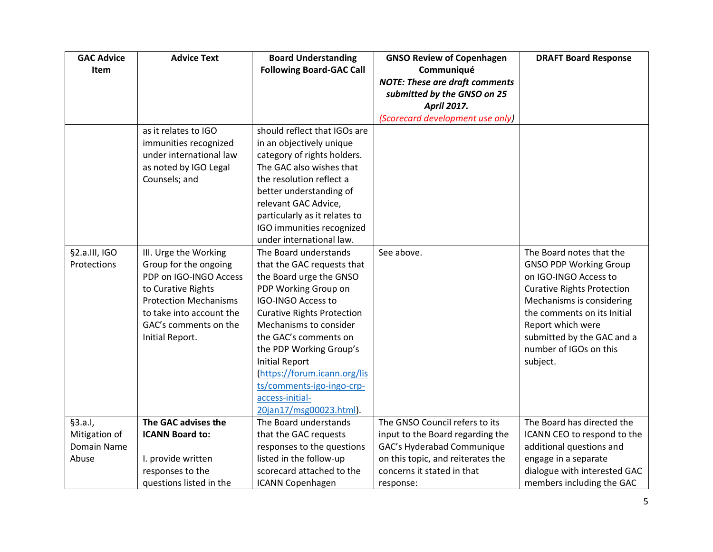| <b>GAC Advice</b> | <b>Advice Text</b>           | <b>Board Understanding</b>        | <b>GNSO Review of Copenhagen</b>      | <b>DRAFT Board Response</b>       |
|-------------------|------------------------------|-----------------------------------|---------------------------------------|-----------------------------------|
| Item              |                              | <b>Following Board-GAC Call</b>   | Communiqué                            |                                   |
|                   |                              |                                   | <b>NOTE: These are draft comments</b> |                                   |
|                   |                              |                                   | submitted by the GNSO on 25           |                                   |
|                   |                              |                                   | <b>April 2017.</b>                    |                                   |
|                   |                              |                                   | (Scorecard development use only)      |                                   |
|                   | as it relates to IGO         | should reflect that IGOs are      |                                       |                                   |
|                   | immunities recognized        | in an objectively unique          |                                       |                                   |
|                   | under international law      | category of rights holders.       |                                       |                                   |
|                   | as noted by IGO Legal        | The GAC also wishes that          |                                       |                                   |
|                   | Counsels; and                | the resolution reflect a          |                                       |                                   |
|                   |                              | better understanding of           |                                       |                                   |
|                   |                              | relevant GAC Advice,              |                                       |                                   |
|                   |                              | particularly as it relates to     |                                       |                                   |
|                   |                              | IGO immunities recognized         |                                       |                                   |
|                   |                              | under international law.          |                                       |                                   |
| §2.a.III, IGO     | III. Urge the Working        | The Board understands             | See above.                            | The Board notes that the          |
| Protections       | Group for the ongoing        | that the GAC requests that        |                                       | <b>GNSO PDP Working Group</b>     |
|                   | PDP on IGO-INGO Access       | the Board urge the GNSO           |                                       | on IGO-INGO Access to             |
|                   | to Curative Rights           | PDP Working Group on              |                                       | <b>Curative Rights Protection</b> |
|                   | <b>Protection Mechanisms</b> | <b>IGO-INGO Access to</b>         |                                       | Mechanisms is considering         |
|                   | to take into account the     | <b>Curative Rights Protection</b> |                                       | the comments on its Initial       |
|                   | GAC's comments on the        | Mechanisms to consider            |                                       | Report which were                 |
|                   | Initial Report.              | the GAC's comments on             |                                       | submitted by the GAC and a        |
|                   |                              | the PDP Working Group's           |                                       | number of IGOs on this            |
|                   |                              | <b>Initial Report</b>             |                                       | subject.                          |
|                   |                              | (https://forum.icann.org/lis      |                                       |                                   |
|                   |                              | ts/comments-igo-ingo-crp-         |                                       |                                   |
|                   |                              | access-initial-                   |                                       |                                   |
|                   |                              | 20jan17/msg00023.html).           |                                       |                                   |
| §3.a.1,           | The GAC advises the          | The Board understands             | The GNSO Council refers to its        | The Board has directed the        |
| Mitigation of     | <b>ICANN Board to:</b>       | that the GAC requests             | input to the Board regarding the      | ICANN CEO to respond to the       |
| Domain Name       |                              | responses to the questions        | GAC's Hyderabad Communique            | additional questions and          |
| Abuse             | I. provide written           | listed in the follow-up           | on this topic, and reiterates the     | engage in a separate              |
|                   | responses to the             | scorecard attached to the         | concerns it stated in that            | dialogue with interested GAC      |
|                   | questions listed in the      | <b>ICANN Copenhagen</b>           | response:                             | members including the GAC         |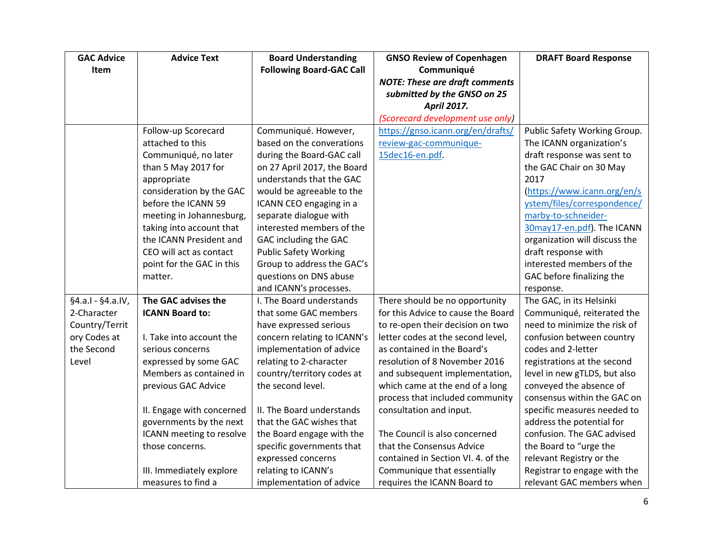| <b>GAC Advice</b>   | <b>Advice Text</b>        | <b>Board Understanding</b>      | <b>GNSO Review of Copenhagen</b>      | <b>DRAFT Board Response</b>   |
|---------------------|---------------------------|---------------------------------|---------------------------------------|-------------------------------|
| Item                |                           | <b>Following Board-GAC Call</b> | Communiqué                            |                               |
|                     |                           |                                 | <b>NOTE: These are draft comments</b> |                               |
|                     |                           |                                 | submitted by the GNSO on 25           |                               |
|                     |                           |                                 | <b>April 2017.</b>                    |                               |
|                     |                           |                                 | (Scorecard development use only)      |                               |
|                     | Follow-up Scorecard       | Communiqué. However,            | https://gnso.icann.org/en/drafts/     | Public Safety Working Group.  |
|                     | attached to this          | based on the converations       | review-gac-communique-                | The ICANN organization's      |
|                     | Communiqué, no later      | during the Board-GAC call       | 15dec16-en.pdf.                       | draft response was sent to    |
|                     | than 5 May 2017 for       | on 27 April 2017, the Board     |                                       | the GAC Chair on 30 May       |
|                     | appropriate               | understands that the GAC        |                                       | 2017                          |
|                     | consideration by the GAC  | would be agreeable to the       |                                       | https://www.icann.org/en/s    |
|                     | before the ICANN 59       | ICANN CEO engaging in a         |                                       | ystem/files/correspondence/   |
|                     | meeting in Johannesburg,  | separate dialogue with          |                                       | marby-to-schneider-           |
|                     | taking into account that  | interested members of the       |                                       | 30may17-en.pdf). The ICANN    |
|                     | the ICANN President and   | GAC including the GAC           |                                       | organization will discuss the |
|                     | CEO will act as contact   | <b>Public Safety Working</b>    |                                       | draft response with           |
|                     | point for the GAC in this | Group to address the GAC's      |                                       | interested members of the     |
|                     | matter.                   | questions on DNS abuse          |                                       | GAC before finalizing the     |
|                     |                           | and ICANN's processes.          |                                       | response.                     |
| $§4.a.I - §4.a.IV,$ | The GAC advises the       | I. The Board understands        | There should be no opportunity        | The GAC, in its Helsinki      |
| 2-Character         | <b>ICANN Board to:</b>    | that some GAC members           | for this Advice to cause the Board    | Communiqué, reiterated the    |
| Country/Territ      |                           | have expressed serious          | to re-open their decision on two      | need to minimize the risk of  |
| ory Codes at        | I. Take into account the  | concern relating to ICANN's     | letter codes at the second level,     | confusion between country     |
| the Second          | serious concerns          | implementation of advice        | as contained in the Board's           | codes and 2-letter            |
| Level               | expressed by some GAC     | relating to 2-character         | resolution of 8 November 2016         | registrations at the second   |
|                     | Members as contained in   | country/territory codes at      | and subsequent implementation,        | level in new gTLDS, but also  |
|                     | previous GAC Advice       | the second level.               | which came at the end of a long       | conveyed the absence of       |
|                     |                           |                                 | process that included community       | consensus within the GAC on   |
|                     | II. Engage with concerned | II. The Board understands       | consultation and input.               | specific measures needed to   |
|                     | governments by the next   | that the GAC wishes that        |                                       | address the potential for     |
|                     | ICANN meeting to resolve  | the Board engage with the       | The Council is also concerned         | confusion. The GAC advised    |
|                     | those concerns.           | specific governments that       | that the Consensus Advice             | the Board to "urge the        |
|                     |                           | expressed concerns              | contained in Section VI. 4. of the    | relevant Registry or the      |
|                     | III. Immediately explore  | relating to ICANN's             | Communique that essentially           | Registrar to engage with the  |
|                     | measures to find a        | implementation of advice        | requires the ICANN Board to           | relevant GAC members when     |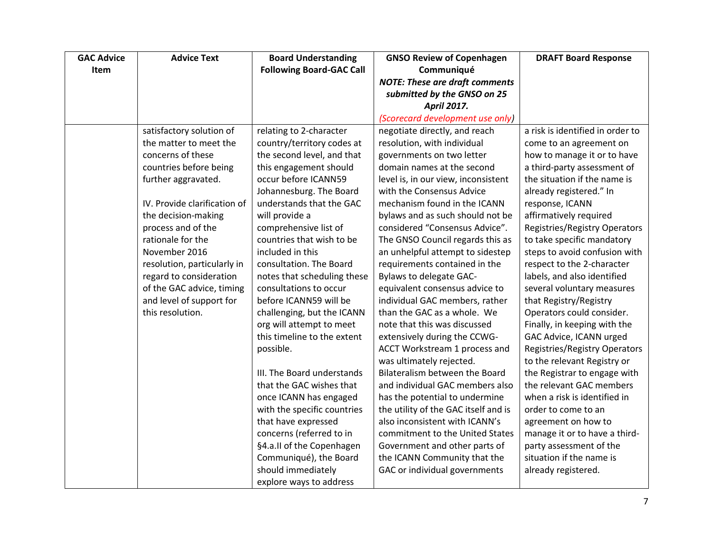| <b>GAC Advice</b> | <b>Advice Text</b>           | <b>Board Understanding</b>      | <b>GNSO Review of Copenhagen</b>      | <b>DRAFT Board Response</b>          |
|-------------------|------------------------------|---------------------------------|---------------------------------------|--------------------------------------|
| <b>Item</b>       |                              | <b>Following Board-GAC Call</b> | Communiqué                            |                                      |
|                   |                              |                                 | <b>NOTE: These are draft comments</b> |                                      |
|                   |                              |                                 | submitted by the GNSO on 25           |                                      |
|                   |                              |                                 | <b>April 2017.</b>                    |                                      |
|                   |                              |                                 | (Scorecard development use only)      |                                      |
|                   | satisfactory solution of     | relating to 2-character         | negotiate directly, and reach         | a risk is identified in order to     |
|                   | the matter to meet the       | country/territory codes at      | resolution, with individual           | come to an agreement on              |
|                   | concerns of these            | the second level, and that      | governments on two letter             | how to manage it or to have          |
|                   | countries before being       | this engagement should          | domain names at the second            | a third-party assessment of          |
|                   | further aggravated.          | occur before ICANN59            | level is, in our view, inconsistent   | the situation if the name is         |
|                   |                              | Johannesburg. The Board         | with the Consensus Advice             | already registered." In              |
|                   | IV. Provide clarification of | understands that the GAC        | mechanism found in the ICANN          | response, ICANN                      |
|                   | the decision-making          | will provide a                  | bylaws and as such should not be      | affirmatively required               |
|                   | process and of the           | comprehensive list of           | considered "Consensus Advice".        | <b>Registries/Registry Operators</b> |
|                   | rationale for the            | countries that wish to be       | The GNSO Council regards this as      | to take specific mandatory           |
|                   | November 2016                | included in this                | an unhelpful attempt to sidestep      | steps to avoid confusion with        |
|                   | resolution, particularly in  | consultation. The Board         | requirements contained in the         | respect to the 2-character           |
|                   | regard to consideration      | notes that scheduling these     | Bylaws to delegate GAC-               | labels, and also identified          |
|                   | of the GAC advice, timing    | consultations to occur          | equivalent consensus advice to        | several voluntary measures           |
|                   | and level of support for     | before ICANN59 will be          | individual GAC members, rather        | that Registry/Registry               |
|                   | this resolution.             | challenging, but the ICANN      | than the GAC as a whole. We           | Operators could consider.            |
|                   |                              | org will attempt to meet        | note that this was discussed          | Finally, in keeping with the         |
|                   |                              | this timeline to the extent     | extensively during the CCWG-          | GAC Advice, ICANN urged              |
|                   |                              | possible.                       | ACCT Workstream 1 process and         | <b>Registries/Registry Operators</b> |
|                   |                              |                                 | was ultimately rejected.              | to the relevant Registry or          |
|                   |                              | III. The Board understands      | Bilateralism between the Board        | the Registrar to engage with         |
|                   |                              | that the GAC wishes that        | and individual GAC members also       | the relevant GAC members             |
|                   |                              | once ICANN has engaged          | has the potential to undermine        | when a risk is identified in         |
|                   |                              | with the specific countries     | the utility of the GAC itself and is  | order to come to an                  |
|                   |                              | that have expressed             | also inconsistent with ICANN's        | agreement on how to                  |
|                   |                              | concerns (referred to in        | commitment to the United States       | manage it or to have a third-        |
|                   |                              | §4.a.II of the Copenhagen       | Government and other parts of         | party assessment of the              |
|                   |                              | Communiqué), the Board          | the ICANN Community that the          | situation if the name is             |
|                   |                              | should immediately              | GAC or individual governments         | already registered.                  |
|                   |                              | explore ways to address         |                                       |                                      |